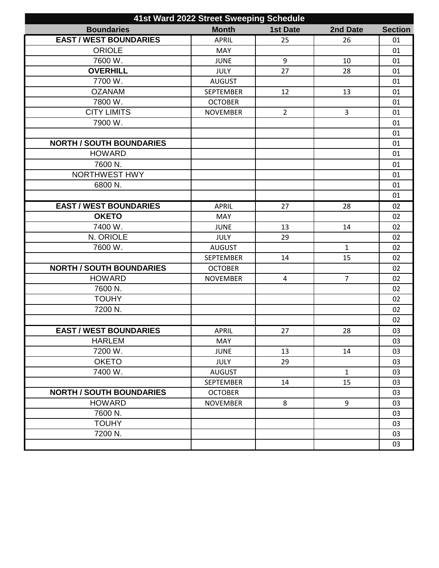| 41st Ward 2022 Street Sweeping Schedule |                  |                 |                |                |
|-----------------------------------------|------------------|-----------------|----------------|----------------|
| <b>Boundaries</b>                       | <b>Month</b>     | <b>1st Date</b> | 2nd Date       | <b>Section</b> |
| <b>EAST / WEST BOUNDARIES</b>           | <b>APRIL</b>     | 25              | 26             | 01             |
| <b>ORIOLE</b>                           | <b>MAY</b>       |                 |                | 01             |
| 7600 W.                                 | <b>JUNE</b>      | 9               | 10             | 01             |
| <b>OVERHILL</b>                         | <b>JULY</b>      | 27              | 28             | 01             |
| 7700 W.                                 | <b>AUGUST</b>    |                 |                | 01             |
| <b>OZANAM</b>                           | <b>SEPTEMBER</b> | 12              | 13             | 01             |
| 7800 W.                                 | <b>OCTOBER</b>   |                 |                | 01             |
| <b>CITY LIMITS</b>                      | <b>NOVEMBER</b>  | $\overline{2}$  | 3              | 01             |
| 7900 W.                                 |                  |                 |                | 01             |
|                                         |                  |                 |                | 01             |
| <b>NORTH / SOUTH BOUNDARIES</b>         |                  |                 |                | 01             |
| <b>HOWARD</b>                           |                  |                 |                | 01             |
| 7600 N.                                 |                  |                 |                | 01             |
| NORTHWEST HWY                           |                  |                 |                | 01             |
| 6800 N.                                 |                  |                 |                | 01             |
|                                         |                  |                 |                | 01             |
| <b>EAST / WEST BOUNDARIES</b>           | <b>APRIL</b>     | 27              | 28             | 02             |
| <b>OKETO</b>                            | <b>MAY</b>       |                 |                | 02             |
| 7400 W.                                 | <b>JUNE</b>      | 13              | 14             | 02             |
| N. ORIOLE                               | <b>JULY</b>      | 29              |                | 02             |
| 7600 W.                                 | <b>AUGUST</b>    |                 | $\mathbf{1}$   | 02             |
|                                         | <b>SEPTEMBER</b> | 14              | 15             | 02             |
| <b>NORTH / SOUTH BOUNDARIES</b>         | <b>OCTOBER</b>   |                 |                | 02             |
| <b>HOWARD</b>                           | <b>NOVEMBER</b>  | 4               | $\overline{7}$ | 02             |
| 7600 N.                                 |                  |                 |                | 02             |
| <b>TOUHY</b>                            |                  |                 |                | 02             |
| 7200 N.                                 |                  |                 |                | 02             |
|                                         |                  |                 |                | 02             |
| <b>EAST / WEST BOUNDARIES</b>           | <b>APRIL</b>     | 27              | 28             | 03             |
| <b>HARLEM</b>                           | MAY              |                 |                | 03             |
| 7200 W.                                 | <b>JUNE</b>      | 13              | 14             | 03             |
| <b>OKETO</b>                            | <b>JULY</b>      | 29              |                | 03             |
| 7400 W.                                 | <b>AUGUST</b>    |                 | $\mathbf{1}$   | 03             |
|                                         | <b>SEPTEMBER</b> | 14              | 15             | 03             |
| <b>NORTH / SOUTH BOUNDARIES</b>         | <b>OCTOBER</b>   |                 |                | 03             |
| <b>HOWARD</b>                           | <b>NOVEMBER</b>  | 8               | 9              | 03             |
| 7600 N.                                 |                  |                 |                | 03             |
| <b>TOUHY</b>                            |                  |                 |                | 03             |
| 7200 N.                                 |                  |                 |                | 03             |
|                                         |                  |                 |                | 03             |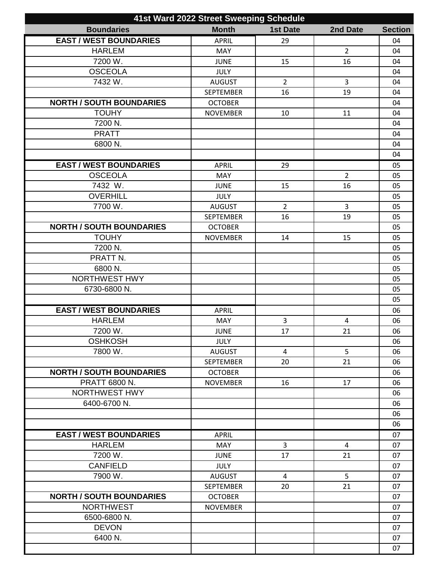| 41st Ward 2022 Street Sweeping Schedule |                  |                 |                |                |
|-----------------------------------------|------------------|-----------------|----------------|----------------|
| <b>Boundaries</b>                       | <b>Month</b>     | <b>1st Date</b> | 2nd Date       | <b>Section</b> |
| <b>EAST / WEST BOUNDARIES</b>           | <b>APRIL</b>     | 29              |                | 04             |
| <b>HARLEM</b>                           | <b>MAY</b>       |                 | $\overline{2}$ | 04             |
| 7200 W.                                 | <b>JUNE</b>      | 15              | 16             | 04             |
| <b>OSCEOLA</b>                          | <b>JULY</b>      |                 |                | 04             |
| 7432 W.                                 | <b>AUGUST</b>    | $\overline{2}$  | 3              | 04             |
|                                         | <b>SEPTEMBER</b> | 16              | 19             | 04             |
| <b>NORTH / SOUTH BOUNDARIES</b>         | <b>OCTOBER</b>   |                 |                | 04             |
| <b>TOUHY</b>                            | <b>NOVEMBER</b>  | 10              | 11             | 04             |
| 7200 N.                                 |                  |                 |                | 04             |
| <b>PRATT</b>                            |                  |                 |                | 04             |
| 6800 N.                                 |                  |                 |                | 04             |
|                                         |                  |                 |                | 04             |
| <b>EAST / WEST BOUNDARIES</b>           | <b>APRIL</b>     | 29              |                | 05             |
| <b>OSCEOLA</b>                          | <b>MAY</b>       |                 | $\overline{2}$ | 05             |
| 7432 W.                                 | <b>JUNE</b>      | 15              | 16             | 05             |
| <b>OVERHILL</b>                         | <b>JULY</b>      |                 |                | 05             |
| 7700 W.                                 | <b>AUGUST</b>    | $\overline{2}$  | 3              | 05             |
|                                         | <b>SEPTEMBER</b> | 16              | 19             | 05             |
| <b>NORTH / SOUTH BOUNDARIES</b>         | <b>OCTOBER</b>   |                 |                | 05             |
| <b>TOUHY</b>                            | <b>NOVEMBER</b>  | 14              | 15             | 05             |
| 7200 N.                                 |                  |                 |                | 05             |
| PRATT <sub>N.</sub>                     |                  |                 |                | 05             |
| 6800 N.                                 |                  |                 |                | 05             |
| <b>NORTHWEST HWY</b>                    |                  |                 |                | 05             |
| 6730-6800 N.                            |                  |                 |                | 05             |
|                                         |                  |                 |                | 05             |
| <b>EAST / WEST BOUNDARIES</b>           | <b>APRIL</b>     |                 |                | 06             |
| <b>HARLEM</b>                           | MAY              | 3               | $\overline{4}$ | 06             |
| 7200 W.                                 | <b>JUNE</b>      | 17              | 21             | 06             |
| <b>OSHKOSH</b>                          | <b>JULY</b>      |                 |                | 06             |
| 7800 W.                                 | <b>AUGUST</b>    | $\overline{4}$  | 5              | 06             |
|                                         | <b>SEPTEMBER</b> | 20              | 21             | 06             |
| <b>NORTH / SOUTH BOUNDARIES</b>         | <b>OCTOBER</b>   |                 |                | 06             |
| <b>PRATT 6800 N.</b>                    |                  | 16              | 17             | 06             |
| <b>NORTHWEST HWY</b>                    | <b>NOVEMBER</b>  |                 |                | 06             |
| 6400-6700 N.                            |                  |                 |                | 06             |
|                                         |                  |                 |                | 06             |
|                                         |                  |                 |                | 06             |
|                                         |                  |                 |                |                |
| <b>EAST / WEST BOUNDARIES</b>           | <b>APRIL</b>     |                 |                | 07             |
| <b>HARLEM</b>                           | <b>MAY</b>       | $\overline{3}$  | 4              | 07             |
| 7200 W.                                 | <b>JUNE</b>      | 17              | 21             | 07             |
| <b>CANFIELD</b>                         | <b>JULY</b>      |                 |                | 07             |
| 7900 W.                                 | <b>AUGUST</b>    | $\overline{4}$  | 5              | 07             |
|                                         | <b>SEPTEMBER</b> | 20              | 21             | 07             |
| <b>NORTH / SOUTH BOUNDARIES</b>         | <b>OCTOBER</b>   |                 |                | 07             |
| <b>NORTHWEST</b>                        | <b>NOVEMBER</b>  |                 |                | 07             |
| 6500-6800 N.                            |                  |                 |                | 07             |
| <b>DEVON</b>                            |                  |                 |                | 07             |
| 6400 N.                                 |                  |                 |                | 07             |
|                                         |                  |                 |                | 07             |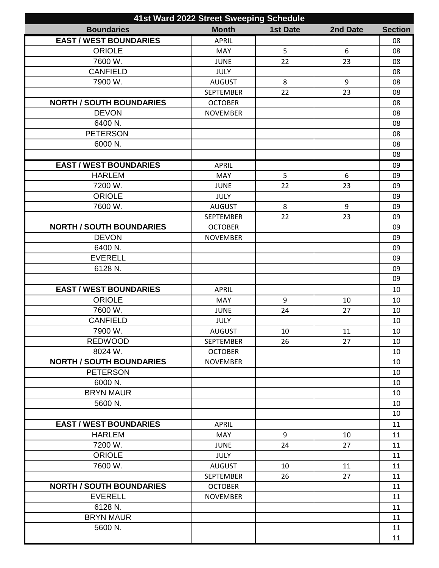| 41st Ward 2022 Street Sweeping Schedule |                  |                 |          |                |
|-----------------------------------------|------------------|-----------------|----------|----------------|
| <b>Boundaries</b>                       | <b>Month</b>     | <b>1st Date</b> | 2nd Date | <b>Section</b> |
| <b>EAST / WEST BOUNDARIES</b>           | <b>APRIL</b>     |                 |          | 08             |
| <b>ORIOLE</b>                           | <b>MAY</b>       | 5               | 6        | 08             |
| 7600 W.                                 | <b>JUNE</b>      | 22              | 23       | 08             |
| <b>CANFIELD</b>                         | <b>JULY</b>      |                 |          | 08             |
| 7900 W.                                 | <b>AUGUST</b>    | 8               | 9        | 08             |
|                                         | <b>SEPTEMBER</b> | 22              | 23       | 08             |
| <b>NORTH / SOUTH BOUNDARIES</b>         | <b>OCTOBER</b>   |                 |          | 08             |
| <b>DEVON</b>                            | <b>NOVEMBER</b>  |                 |          | 08             |
| 6400 N.                                 |                  |                 |          | 08             |
| <b>PETERSON</b>                         |                  |                 |          | 08             |
| 6000 N.                                 |                  |                 |          | 08             |
|                                         |                  |                 |          | 08             |
| <b>EAST / WEST BOUNDARIES</b>           | <b>APRIL</b>     |                 |          | 09             |
| <b>HARLEM</b>                           | <b>MAY</b>       | 5               | 6        | 09             |
| 7200 W.                                 | <b>JUNE</b>      | 22              | 23       | 09             |
| <b>ORIOLE</b>                           | <b>JULY</b>      |                 |          | 09             |
| 7600 W.                                 | <b>AUGUST</b>    | 8               | 9        | 09             |
|                                         | <b>SEPTEMBER</b> | 22              | 23       | 09             |
| <b>NORTH / SOUTH BOUNDARIES</b>         | <b>OCTOBER</b>   |                 |          | 09             |
| <b>DEVON</b>                            | <b>NOVEMBER</b>  |                 |          | 09             |
| 6400 N.                                 |                  |                 |          | 09             |
| <b>EVERELL</b>                          |                  |                 |          | 09             |
| 6128 N.                                 |                  |                 |          | 09             |
|                                         |                  |                 |          | 09             |
| <b>EAST / WEST BOUNDARIES</b>           | <b>APRIL</b>     |                 |          | 10             |
| <b>ORIOLE</b>                           | <b>MAY</b>       | 9               | 10       | 10             |
| 7600 W.                                 | <b>JUNE</b>      | 24              | 27       | 10             |
| <b>CANFIELD</b>                         | <b>JULY</b>      |                 |          | 10             |
| 7900 W.                                 | <b>AUGUST</b>    | 10              | 11       | 10             |
| <b>REDWOOD</b>                          | <b>SEPTEMBER</b> | 26              | 27       | 10             |
| 8024 W.                                 | <b>OCTOBER</b>   |                 |          | 10             |
| <b>NORTH / SOUTH BOUNDARIES</b>         |                  |                 |          | 10             |
| <b>PETERSON</b>                         | <b>NOVEMBER</b>  |                 |          | 10             |
| 6000 N.                                 |                  |                 |          | 10             |
| <b>BRYN MAUR</b>                        |                  |                 |          | 10             |
| 5600 N.                                 |                  |                 |          | 10             |
|                                         |                  |                 |          | 10             |
| <b>EAST / WEST BOUNDARIES</b>           |                  |                 |          |                |
| <b>HARLEM</b>                           | <b>APRIL</b>     |                 |          | 11             |
|                                         | <b>MAY</b>       | 9               | 10       | 11             |
| 7200 W.                                 | <b>JUNE</b>      | 24              | 27       | 11             |
| <b>ORIOLE</b>                           | <b>JULY</b>      |                 |          | 11             |
| 7600 W.                                 | <b>AUGUST</b>    | 10              | 11       | 11             |
|                                         | <b>SEPTEMBER</b> | 26              | 27       | 11             |
| <b>NORTH / SOUTH BOUNDARIES</b>         | <b>OCTOBER</b>   |                 |          | 11             |
| <b>EVERELL</b>                          | <b>NOVEMBER</b>  |                 |          | 11             |
| 6128 N.                                 |                  |                 |          | 11             |
| <b>BRYN MAUR</b>                        |                  |                 |          | 11             |
| 5600 N.                                 |                  |                 |          | 11             |
|                                         |                  |                 |          | 11             |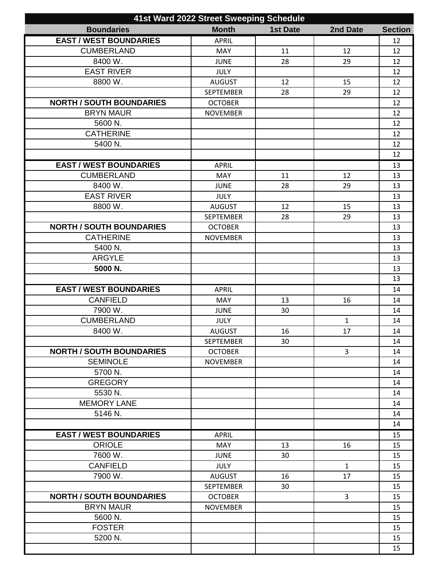| 41st Ward 2022 Street Sweeping Schedule |                  |                 |                |                |
|-----------------------------------------|------------------|-----------------|----------------|----------------|
| <b>Boundaries</b>                       | <b>Month</b>     | <b>1st Date</b> | 2nd Date       | <b>Section</b> |
| <b>EAST / WEST BOUNDARIES</b>           | <b>APRIL</b>     |                 |                | 12             |
| <b>CUMBERLAND</b>                       | <b>MAY</b>       | 11              | 12             | 12             |
| 8400 W.                                 | <b>JUNE</b>      | 28              | 29             | 12             |
| <b>EAST RIVER</b>                       | <b>JULY</b>      |                 |                | 12             |
| 8800 W.                                 | <b>AUGUST</b>    | 12              | 15             | 12             |
|                                         | <b>SEPTEMBER</b> | 28              | 29             | 12             |
| <b>NORTH / SOUTH BOUNDARIES</b>         | <b>OCTOBER</b>   |                 |                | 12             |
| <b>BRYN MAUR</b>                        | <b>NOVEMBER</b>  |                 |                | 12             |
| 5600 N.                                 |                  |                 |                | 12             |
| <b>CATHERINE</b>                        |                  |                 |                | 12             |
| 5400 N.                                 |                  |                 |                | 12             |
|                                         |                  |                 |                | 12             |
| <b>EAST / WEST BOUNDARIES</b>           | <b>APRIL</b>     |                 |                | 13             |
| <b>CUMBERLAND</b>                       | MAY              | 11              | 12             | 13             |
| 8400 W.                                 | <b>JUNE</b>      | 28              | 29             | 13             |
| <b>EAST RIVER</b>                       | <b>JULY</b>      |                 |                | 13             |
| 8800 W.                                 | <b>AUGUST</b>    | 12              | 15             | 13             |
|                                         | <b>SEPTEMBER</b> | 28              | 29             | 13             |
| <b>NORTH / SOUTH BOUNDARIES</b>         | <b>OCTOBER</b>   |                 |                | 13             |
| <b>CATHERINE</b>                        | <b>NOVEMBER</b>  |                 |                | 13             |
| 5400 N.                                 |                  |                 |                | 13             |
| <b>ARGYLE</b>                           |                  |                 |                | 13             |
| 5000 N.                                 |                  |                 |                | 13             |
|                                         |                  |                 |                | 13             |
| <b>EAST / WEST BOUNDARIES</b>           | <b>APRIL</b>     |                 |                | 14             |
| <b>CANFIELD</b>                         | <b>MAY</b>       | 13              | 16             | 14             |
| 7900 W.                                 | <b>JUNE</b>      | 30              |                | 14             |
| <b>CUMBERLAND</b>                       | <b>JULY</b>      |                 | $\mathbf{1}$   | 14             |
| 8400 W.                                 | <b>AUGUST</b>    | 16              | 17             | 14             |
|                                         | <b>SEPTEMBER</b> | 30              |                | 14             |
| <b>NORTH / SOUTH BOUNDARIES</b>         | <b>OCTOBER</b>   |                 | $\overline{3}$ | 14             |
| <b>SEMINOLE</b>                         | <b>NOVEMBER</b>  |                 |                | 14             |
| 5700 N.                                 |                  |                 |                | 14             |
| <b>GREGORY</b>                          |                  |                 |                | 14             |
| 5530 N.                                 |                  |                 |                | 14             |
| <b>MEMORY LANE</b>                      |                  |                 |                | 14             |
| 5146 N.                                 |                  |                 |                | 14             |
|                                         |                  |                 |                | 14             |
| <b>EAST / WEST BOUNDARIES</b>           | <b>APRIL</b>     |                 |                | 15             |
| <b>ORIOLE</b>                           | <b>MAY</b>       | 13              | 16             | 15             |
| 7600 W.                                 | <b>JUNE</b>      | 30              |                | 15             |
| <b>CANFIELD</b>                         | <b>JULY</b>      |                 | $\mathbf{1}$   | 15             |
| 7900 W.                                 | <b>AUGUST</b>    | 16              | 17             | 15             |
|                                         | <b>SEPTEMBER</b> | 30              |                | 15             |
| <b>NORTH / SOUTH BOUNDARIES</b>         | <b>OCTOBER</b>   |                 | $\overline{3}$ | 15             |
| <b>BRYN MAUR</b>                        | <b>NOVEMBER</b>  |                 |                | 15             |
| 5600 N.                                 |                  |                 |                | 15             |
| <b>FOSTER</b>                           |                  |                 |                | 15             |
| 5200 N.                                 |                  |                 |                | 15             |
|                                         |                  |                 |                | 15             |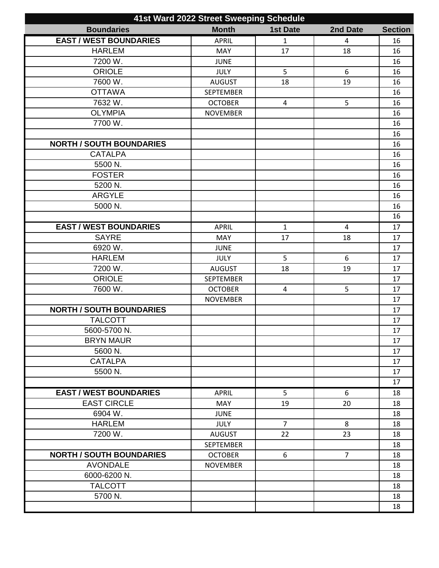| 41st Ward 2022 Street Sweeping Schedule |                  |                 |                |                |
|-----------------------------------------|------------------|-----------------|----------------|----------------|
| <b>Boundaries</b>                       | <b>Month</b>     | <b>1st Date</b> | 2nd Date       | <b>Section</b> |
| <b>EAST / WEST BOUNDARIES</b>           | <b>APRIL</b>     | $\mathbf{1}$    | 4              | 16             |
| <b>HARLEM</b>                           | <b>MAY</b>       | 17              | 18             | 16             |
| 7200 W.                                 | <b>JUNE</b>      |                 |                | 16             |
| <b>ORIOLE</b>                           | <b>JULY</b>      | 5               | 6              | 16             |
| 7600 W.                                 | <b>AUGUST</b>    | 18              | 19             | 16             |
| <b>OTTAWA</b>                           | <b>SEPTEMBER</b> |                 |                | 16             |
| 7632 W.                                 | <b>OCTOBER</b>   | 4               | 5              | 16             |
| <b>OLYMPIA</b>                          | <b>NOVEMBER</b>  |                 |                | 16             |
| 7700 W.                                 |                  |                 |                | 16             |
|                                         |                  |                 |                | 16             |
| <b>NORTH / SOUTH BOUNDARIES</b>         |                  |                 |                | 16             |
| <b>CATALPA</b>                          |                  |                 |                | 16             |
| 5500 N.                                 |                  |                 |                | 16             |
| <b>FOSTER</b>                           |                  |                 |                | 16             |
| 5200 N.                                 |                  |                 |                | 16             |
| <b>ARGYLE</b>                           |                  |                 |                | 16             |
| 5000 N.                                 |                  |                 |                | 16             |
|                                         |                  |                 |                | 16             |
| <b>EAST / WEST BOUNDARIES</b>           | <b>APRIL</b>     | $\mathbf{1}$    | $\overline{4}$ | 17             |
| <b>SAYRE</b>                            | MAY              | 17              | 18             | 17             |
| 6920 W.                                 | <b>JUNE</b>      |                 |                | 17             |
| <b>HARLEM</b>                           | <b>JULY</b>      | 5               | 6              | 17             |
| 7200 W.                                 | <b>AUGUST</b>    | 18              | 19             | 17             |
| <b>ORIOLE</b>                           | <b>SEPTEMBER</b> |                 |                | 17             |
| 7600 W.                                 | <b>OCTOBER</b>   | $\overline{4}$  | 5              | 17             |
|                                         | <b>NOVEMBER</b>  |                 |                | 17             |
| <b>NORTH / SOUTH BOUNDARIES</b>         |                  |                 |                | 17             |
| <b>TALCOTT</b>                          |                  |                 |                | 17             |
| 5600-5700 N.                            |                  |                 |                | 17             |
| <b>BRYN MAUR</b>                        |                  |                 |                | 17             |
| 5600 N.                                 |                  |                 |                | 17             |
| <b>CATALPA</b>                          |                  |                 |                | 17             |
| 5500 N.                                 |                  |                 |                | 17             |
|                                         |                  |                 |                | 17             |
| <b>EAST / WEST BOUNDARIES</b>           | <b>APRIL</b>     | 5               | 6              | 18             |
| <b>EAST CIRCLE</b>                      | MAY              | 19              | 20             | 18             |
| 6904 W.                                 | <b>JUNE</b>      |                 |                | 18             |
| <b>HARLEM</b>                           | <b>JULY</b>      | $\overline{7}$  | 8              | 18             |
| 7200 W.                                 | <b>AUGUST</b>    | 22              | 23             | 18             |
|                                         | <b>SEPTEMBER</b> |                 |                | 18             |
| <b>NORTH / SOUTH BOUNDARIES</b>         | <b>OCTOBER</b>   | 6               | $\overline{7}$ | 18             |
| <b>AVONDALE</b>                         | <b>NOVEMBER</b>  |                 |                | 18             |
| 6000-6200 N.                            |                  |                 |                | 18             |
| <b>TALCOTT</b>                          |                  |                 |                | 18             |
| 5700 N.                                 |                  |                 |                | 18             |
|                                         |                  |                 |                | 18             |
|                                         |                  |                 |                |                |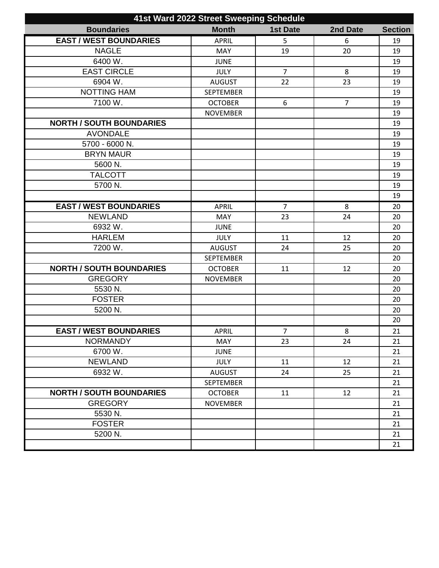| 41st Ward 2022 Street Sweeping Schedule |                  |                 |                |                |
|-----------------------------------------|------------------|-----------------|----------------|----------------|
| <b>Boundaries</b>                       | <b>Month</b>     | <b>1st Date</b> | 2nd Date       | <b>Section</b> |
| <b>EAST / WEST BOUNDARIES</b>           | <b>APRIL</b>     | 5               | 6              | 19             |
| <b>NAGLE</b>                            | <b>MAY</b>       | 19              | 20             | 19             |
| 6400 W.                                 | <b>JUNE</b>      |                 |                | 19             |
| <b>EAST CIRCLE</b>                      | <b>JULY</b>      | $\overline{7}$  | 8              | 19             |
| 6904 W.                                 | <b>AUGUST</b>    | 22              | 23             | 19             |
| <b>NOTTING HAM</b>                      | <b>SEPTEMBER</b> |                 |                | 19             |
| 7100 W.                                 | <b>OCTOBER</b>   | 6               | $\overline{7}$ | 19             |
|                                         | <b>NOVEMBER</b>  |                 |                | 19             |
| <b>NORTH / SOUTH BOUNDARIES</b>         |                  |                 |                | 19             |
| <b>AVONDALE</b>                         |                  |                 |                | 19             |
| 5700 - 6000 N.                          |                  |                 |                | 19             |
| <b>BRYN MAUR</b>                        |                  |                 |                | 19             |
| 5600 N.                                 |                  |                 |                | 19             |
| <b>TALCOTT</b>                          |                  |                 |                | 19             |
| 5700 N.                                 |                  |                 |                | 19             |
|                                         |                  |                 |                | 19             |
| <b>EAST / WEST BOUNDARIES</b>           | <b>APRIL</b>     | $\overline{7}$  | 8              | 20             |
| <b>NEWLAND</b>                          | <b>MAY</b>       | 23              | 24             | 20             |
| 6932W.                                  | <b>JUNE</b>      |                 |                | 20             |
| <b>HARLEM</b>                           | <b>JULY</b>      | 11              | 12             | 20             |
| 7200 W.                                 | <b>AUGUST</b>    | 24              | 25             | 20             |
|                                         | <b>SEPTEMBER</b> |                 |                | 20             |
| <b>NORTH / SOUTH BOUNDARIES</b>         | <b>OCTOBER</b>   | 11              | 12             | 20             |
| <b>GREGORY</b>                          | <b>NOVEMBER</b>  |                 |                | 20             |
| 5530 N.                                 |                  |                 |                | 20             |
| <b>FOSTER</b>                           |                  |                 |                | 20             |
| 5200 N.                                 |                  |                 |                | 20             |
|                                         |                  |                 |                | 20             |
| <b>EAST / WEST BOUNDARIES</b>           | APRIL            | $\overline{7}$  | 8              | 21             |
| <b>NORMANDY</b>                         | <b>MAY</b>       | 23              | 24             | 21             |
| 6700 W.                                 | <b>JUNE</b>      |                 |                | 21             |
| <b>NEWLAND</b>                          | <b>JULY</b>      | 11              | 12             | 21             |
| 6932 W.                                 | <b>AUGUST</b>    | 24              | 25             | 21             |
|                                         | <b>SEPTEMBER</b> |                 |                | 21             |
| <b>NORTH / SOUTH BOUNDARIES</b>         | <b>OCTOBER</b>   | 11              | 12             | 21             |
| <b>GREGORY</b>                          | <b>NOVEMBER</b>  |                 |                | 21             |
| 5530 N.                                 |                  |                 |                | 21             |
| <b>FOSTER</b>                           |                  |                 |                | 21             |
| 5200 N.                                 |                  |                 |                | 21             |
|                                         |                  |                 |                | 21             |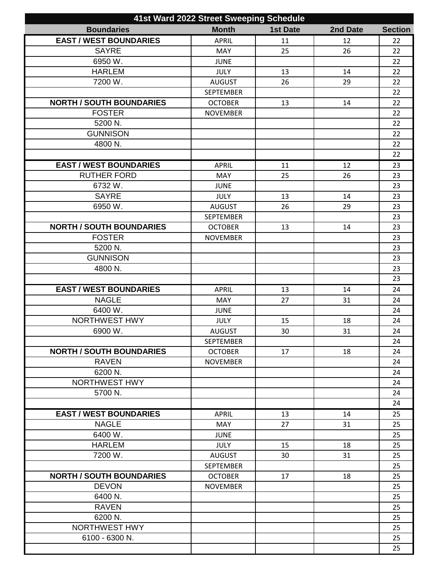| 41st Ward 2022 Street Sweeping Schedule |                  |                 |          |                |
|-----------------------------------------|------------------|-----------------|----------|----------------|
| <b>Boundaries</b>                       | <b>Month</b>     | <b>1st Date</b> | 2nd Date | <b>Section</b> |
| <b>EAST / WEST BOUNDARIES</b>           | <b>APRIL</b>     | 11              | 12       | 22             |
| <b>SAYRE</b>                            | <b>MAY</b>       | 25              | 26       | 22             |
| 6950 W.                                 | <b>JUNE</b>      |                 |          | 22             |
| <b>HARLEM</b>                           | <b>JULY</b>      | 13              | 14       | 22             |
| 7200 W.                                 | <b>AUGUST</b>    | 26              | 29       | 22             |
|                                         | <b>SEPTEMBER</b> |                 |          | 22             |
| <b>NORTH / SOUTH BOUNDARIES</b>         | <b>OCTOBER</b>   | 13              | 14       | 22             |
| <b>FOSTER</b>                           | <b>NOVEMBER</b>  |                 |          | 22             |
| 5200 N.                                 |                  |                 |          | 22             |
| <b>GUNNISON</b>                         |                  |                 |          | 22             |
| 4800 N.                                 |                  |                 |          | 22             |
|                                         |                  |                 |          | 22             |
| <b>EAST / WEST BOUNDARIES</b>           | <b>APRIL</b>     | 11              | 12       | 23             |
| <b>RUTHER FORD</b>                      | <b>MAY</b>       | 25              | 26       | 23             |
| 6732W.                                  | <b>JUNE</b>      |                 |          | 23             |
| <b>SAYRE</b>                            | <b>JULY</b>      | 13              | 14       | 23             |
| 6950 W.                                 | <b>AUGUST</b>    | 26              | 29       | 23             |
|                                         | SEPTEMBER        |                 |          | 23             |
| <b>NORTH / SOUTH BOUNDARIES</b>         | <b>OCTOBER</b>   | 13              | 14       | 23             |
| <b>FOSTER</b>                           | <b>NOVEMBER</b>  |                 |          | 23             |
| 5200 N.                                 |                  |                 |          | 23             |
| <b>GUNNISON</b>                         |                  |                 |          | 23             |
| 4800 N.                                 |                  |                 |          | 23             |
|                                         |                  |                 |          | 23             |
| <b>EAST / WEST BOUNDARIES</b>           | <b>APRIL</b>     | 13              | 14       | 24             |
| <b>NAGLE</b>                            | <b>MAY</b>       | 27              | 31       | 24             |
| 6400 W.                                 | <b>JUNE</b>      |                 |          | 24             |
| <b>NORTHWEST HWY</b>                    | <b>JULY</b>      | 15              | 18       | 24             |
| 6900 W.                                 | <b>AUGUST</b>    | 30              | 31       | 24             |
|                                         | <b>SEPTEMBER</b> |                 |          | 24             |
| <b>NORTH / SOUTH BOUNDARIES</b>         | <b>OCTOBER</b>   | 17              | 18       | 24             |
| <b>RAVEN</b>                            | <b>NOVEMBER</b>  |                 |          | 24             |
| 6200 N.                                 |                  |                 |          | 24             |
| NORTHWEST HWY                           |                  |                 |          | 24             |
| 5700 N.                                 |                  |                 |          | 24             |
|                                         |                  |                 |          | 24             |
| <b>EAST / WEST BOUNDARIES</b>           | <b>APRIL</b>     | 13              | 14       | 25             |
| <b>NAGLE</b>                            | <b>MAY</b>       | 27              | 31       | 25             |
| 6400 W.                                 | <b>JUNE</b>      |                 |          | 25             |
| <b>HARLEM</b>                           | <b>JULY</b>      | 15              | 18       | 25             |
| 7200 W.                                 | <b>AUGUST</b>    | 30              | 31       | 25             |
|                                         | <b>SEPTEMBER</b> |                 |          | 25             |
| <b>NORTH / SOUTH BOUNDARIES</b>         | <b>OCTOBER</b>   | 17              | 18       | 25             |
| <b>DEVON</b>                            | <b>NOVEMBER</b>  |                 |          | 25             |
| 6400 N.                                 |                  |                 |          | 25             |
| <b>RAVEN</b>                            |                  |                 |          | 25             |
| 6200 N.                                 |                  |                 |          | 25             |
| <b>NORTHWEST HWY</b>                    |                  |                 |          | 25             |
| 6100 - 6300 N.                          |                  |                 |          | 25             |
|                                         |                  |                 |          | 25             |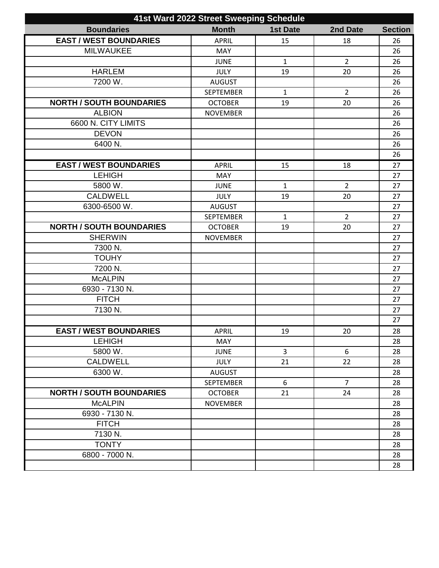| 41st Ward 2022 Street Sweeping Schedule |                  |                 |                |                |
|-----------------------------------------|------------------|-----------------|----------------|----------------|
| <b>Boundaries</b>                       | <b>Month</b>     | <b>1st Date</b> | 2nd Date       | <b>Section</b> |
| <b>EAST / WEST BOUNDARIES</b>           | <b>APRIL</b>     | 15              | 18             | 26             |
| <b>MILWAUKEE</b>                        | <b>MAY</b>       |                 |                | 26             |
|                                         | <b>JUNE</b>      | $\mathbf{1}$    | $\overline{2}$ | 26             |
| <b>HARLEM</b>                           | <b>JULY</b>      | 19              | 20             | 26             |
| 7200 W.                                 | <b>AUGUST</b>    |                 |                | 26             |
|                                         | <b>SEPTEMBER</b> | $\mathbf{1}$    | $\overline{2}$ | 26             |
| <b>NORTH / SOUTH BOUNDARIES</b>         | <b>OCTOBER</b>   | 19              | 20             | 26             |
| <b>ALBION</b>                           | <b>NOVEMBER</b>  |                 |                | 26             |
| 6600 N. CITY LIMITS                     |                  |                 |                | 26             |
| <b>DEVON</b>                            |                  |                 |                | 26             |
| 6400 N.                                 |                  |                 |                | 26             |
|                                         |                  |                 |                | 26             |
| <b>EAST / WEST BOUNDARIES</b>           | <b>APRIL</b>     | 15              | 18             | 27             |
| <b>LEHIGH</b>                           | <b>MAY</b>       |                 |                | 27             |
| 5800 W.                                 | <b>JUNE</b>      | $\mathbf{1}$    | $\overline{2}$ | 27             |
| <b>CALDWELL</b>                         | <b>JULY</b>      | 19              | 20             | 27             |
| 6300-6500 W.                            | <b>AUGUST</b>    |                 |                | 27             |
|                                         | <b>SEPTEMBER</b> | $\mathbf{1}$    | $\overline{2}$ | 27             |
| <b>NORTH / SOUTH BOUNDARIES</b>         | <b>OCTOBER</b>   | 19              | 20             | 27             |
| <b>SHERWIN</b>                          | <b>NOVEMBER</b>  |                 |                | 27             |
| 7300 N.                                 |                  |                 |                | 27             |
| <b>TOUHY</b>                            |                  |                 |                | 27             |
| 7200 N.                                 |                  |                 |                | 27             |
| <b>McALPIN</b>                          |                  |                 |                | 27             |
| 6930 - 7130 N.                          |                  |                 |                | 27             |
| <b>FITCH</b>                            |                  |                 |                | 27             |
| 7130 N.                                 |                  |                 |                | 27             |
|                                         |                  |                 |                | 27             |
| <b>EAST / WEST BOUNDARIES</b>           | <b>APRIL</b>     | 19              | 20             | 28             |
| <b>LEHIGH</b>                           | MAY              |                 |                | 28             |
| 5800 W.                                 | <b>JUNE</b>      | $\overline{3}$  | 6              | 28             |
| <b>CALDWELL</b>                         | <b>JULY</b>      | 21              | 22             | 28             |
| 6300 W.                                 | <b>AUGUST</b>    |                 |                | 28             |
|                                         | <b>SEPTEMBER</b> | 6               | $\overline{7}$ | 28             |
| <b>NORTH / SOUTH BOUNDARIES</b>         | <b>OCTOBER</b>   | 21              | 24             | 28             |
| <b>McALPIN</b>                          | <b>NOVEMBER</b>  |                 |                | 28             |
| 6930 - 7130 N.                          |                  |                 |                | 28             |
| <b>FITCH</b>                            |                  |                 |                | 28             |
| 7130 N.                                 |                  |                 |                | 28             |
| <b>TONTY</b>                            |                  |                 |                | 28             |
| 6800 - 7000 N.                          |                  |                 |                | 28             |
|                                         |                  |                 |                | 28             |